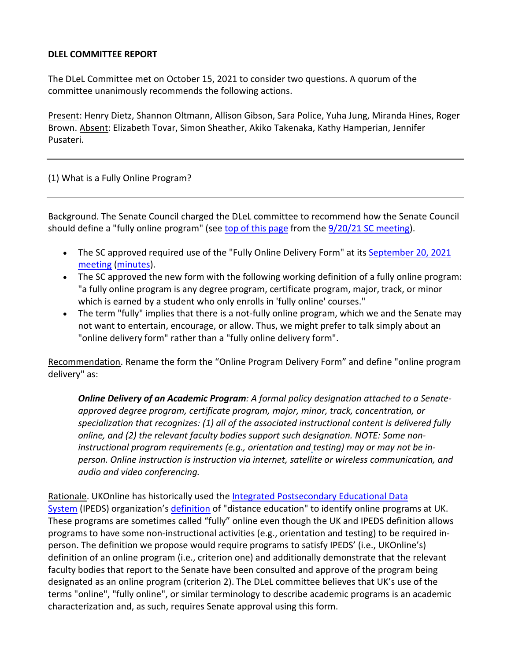## **DLEL COMMITTEE REPORT**

The DLeL Committee met on October 15, 2021 to consider two questions. A quorum of the committee unanimously recommends the following actions.

Present: Henry Dietz, Shannon Oltmann, Allison Gibson, Sara Police, Yuha Jung, Miranda Hines, Roger Brown. **Absent: Elizabeth Tovar, Simon Sheather, Akiko Takenaka, Kathy Hamperian, Jennifer** Pusateri.

## (1) What is a Fully Online Program?

Background. The Senate Council charged the DLeL committee to recommend how the Senate Council should define a "fully online program" (see top of this [page](https://www.uky.edu/universitysenate/sites/www.uky.edu.universitysenate/files/sc/2021-22/20210920/FO%20Explanation_toSC.pdf) from the 9/20/21 SC [meeting\)](https://www.uky.edu/universitysenate/council/2021-09-20).

- The SC approved required use of the "Fully Online Delivery Form" at its [September](https://www.uky.edu/universitysenate/council/2021-09-20) 20, 2021 [meeting](https://www.uky.edu/universitysenate/council/2021-09-20) [\(minutes\)](https://www.uky.edu/universitysenate/sites/www.uky.edu.universitysenate/files/9.20.21%20Senate%20Council%20Minutes.pdf).
- The SC approved the new form with the following working definition of a fully online program: "a fully online program is any degree program, certificate program, major, track, or minor which is earned by a student who only enrolls in 'fully online' courses."
- The term "fully" implies that there is a not-fully online program, which we and the Senate may not want to entertain, encourage, or allow. Thus, we might prefer to talk simply about an "online delivery form" rather than a "fully online delivery form".

Recommendation. Rename the form the "Online Program Delivery Form" and define "online program delivery" as:

*Online Delivery of an Academic Program: A formal policy designation attached to a Senateapproved degree program, certificate program, major, minor, track, concentration, or specialization that recognizes: (1) all of the associated instructional content is delivered fully online, and (2) the relevant faculty bodies support such designation. NOTE: Some noninstructional program requirements (e.g., orientation and testing) may or may not be inperson. Online instruction is instruction via internet, satellite or wireless communication, and audio and video conferencing.*

Rationale. UKOnline has historically used the Integrated [Postsecondary](https://nces.ed.gov/ipeds/) Educational Data [System](https://nces.ed.gov/ipeds/) (IPEDS) organization's [definition](https://nces.ed.gov/ipeds/use-the-data/distance-education-in-ipeds) of "distance education" to identify online programs at UK. These programs are sometimes called "fully" online even though the UK and IPEDS definition allows programs to have some non-instructional activities (e.g., orientation and testing) to be required inperson. The definition we propose would require programs to satisfy IPEDS' (i.e., UKOnline's) definition of an online program (i.e., criterion one) and additionally demonstrate that the relevant faculty bodies that report to the Senate have been consulted and approve of the program being designated as an online program (criterion 2). The DLeL committee believes that UK's use of the terms "online", "fully online", or similar terminology to describe academic programs is an academic characterization and, as such, requires Senate approval using this form.